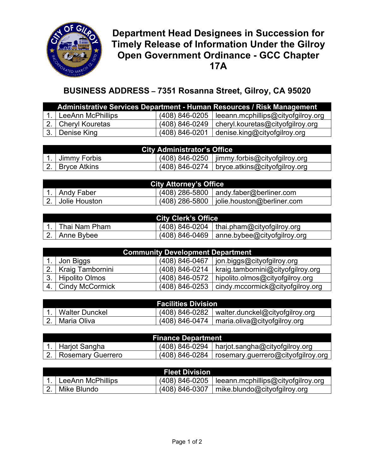

**Department Head Designees in Succession for Timely Release of Information Under the Gilroy Open Government Ordinance - GCC Chapter 17A**

## **BUSINESS ADDRESS – 7351 Rosanna Street, Gilroy, CA 95020**

| Administrative Services Department - Human Resources / Risk Management |                    |                                    |  |  |
|------------------------------------------------------------------------|--------------------|------------------------------------|--|--|
| LeeAnn McPhillips                                                      | $(408)$ 846-0205   | leeann.mcphillips@cityofgilroy.org |  |  |
| 2.   Cheryl Kouretas                                                   | (408) 846-0249     | cheryl.kouretas@cityofgilroy.org   |  |  |
| 3.   Denise King                                                       | $(408) 846 - 0201$ | denise.king@cityofgilroy.org       |  |  |

| <b>City Administrator's Office</b> |  |                                                  |  |
|------------------------------------|--|--------------------------------------------------|--|
| 1. Jimmy Forbis                    |  | $(408)$ 846-0250   jimmy.forbis@cityofgilroy.org |  |
| 2. Bryce Atkins                    |  | $(408)$ 846-0274   bryce.atkins@cityofgilroy.org |  |

| <b>City Attorney's Office</b> |  |                                               |  |
|-------------------------------|--|-----------------------------------------------|--|
| 1.   Andy Faber               |  | $(408)$ 286-5800   andy faber@berliner.com    |  |
| 2. Jolie Houston              |  | $(408)$ 286-5800   jolie.houston@berliner.com |  |

| <b>City Clerk's Office</b> |                      |                |                                               |
|----------------------------|----------------------|----------------|-----------------------------------------------|
|                            | □ 1. I Thai Nam Pham |                | $(408)$ 846-0204   thai.pham@cityofgilroy.org |
|                            | $ 2. $ Anne Bybee    | (408) 846-0469 |                                               |

| <b>Community Development Department</b> |                        |                |                                   |
|-----------------------------------------|------------------------|----------------|-----------------------------------|
|                                         | ∣ Jon Biggs            | (408) 846-0467 | jon.biggs@cityofgilroy.org        |
|                                         | Kraig Tambornini       | (408) 846-0214 | kraig.tambornini@cityofgilroy.org |
| 3.                                      | Hipolito Olmos         | (408) 846-0572 | hipolito.olmos@cityofgilroy.org   |
|                                         | <b>Cindy McCormick</b> | (408) 846-0253 | cindy.mccormick@cityofgilroy.org  |

| <b>Facilities Division</b> |  |                                                    |  |
|----------------------------|--|----------------------------------------------------|--|
| Walter Dunckel             |  | $(408)$ 846-0282   walter dunckel@cityofgilroy org |  |
| 2.   Maria Oliva           |  | $(408)$ 846-0474   maria.oliva@cityofgilroy.org    |  |

| <b>Finance Department</b> |  |                                                     |  |
|---------------------------|--|-----------------------------------------------------|--|
| 1.   Harjot Sangha        |  | (408) 846-0294   harjot.sangha@cityofgilroy.org     |  |
| l 2.   Rosemary Guerrero  |  | (408) 846-0284   rosemary.guerrero@cityofgilroy.org |  |

|                      | <b>Fleet Division</b> |                                       |
|----------------------|-----------------------|---------------------------------------|
| 1. LeeAnn McPhillips | $(408) 846 - 0205$    | $leeann$ .mcphillips@cityofgilroy.org |
| 2.   Mike Blundo     | $(408) 846 - 0307$    | mike.blundo@cityofgilroy.org          |